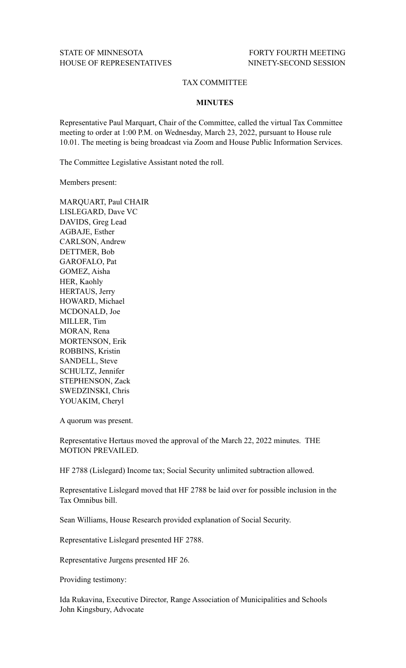## TAX COMMITTEE

## **MINUTES**

Representative Paul Marquart, Chair of the Committee, called the virtual Tax Committee meeting to order at 1:00 P.M. on Wednesday, March 23, 2022, pursuant to House rule 10.01. The meeting is being broadcast via Zoom and House Public Information Services.

The Committee Legislative Assistant noted the roll.

Members present:

MARQUART, Paul CHAIR LISLEGARD, Dave VC DAVIDS, Greg Lead AGBAJE, Esther CARLSON, Andrew DETTMER, Bob GAROFALO, Pat GOMEZ, Aisha HER, Kaohly HERTAUS, Jerry HOWARD, Michael MCDONALD, Joe MILLER, Tim MORAN, Rena MORTENSON, Erik ROBBINS, Kristin SANDELL, Steve SCHULTZ, Jennifer STEPHENSON, Zack SWEDZINSKI, Chris YOUAKIM, Cheryl

A quorum was present.

Representative Hertaus moved the approval of the March 22, 2022 minutes. THE MOTION PREVAILED.

HF 2788 (Lislegard) Income tax; Social Security unlimited subtraction allowed.

Representative Lislegard moved that HF 2788 be laid over for possible inclusion in the Tax Omnibus bill.

Sean Williams, House Research provided explanation of Social Security.

Representative Lislegard presented HF 2788.

Representative Jurgens presented HF 26.

Providing testimony:

Ida Rukavina, Executive Director, Range Association of Municipalities and Schools John Kingsbury, Advocate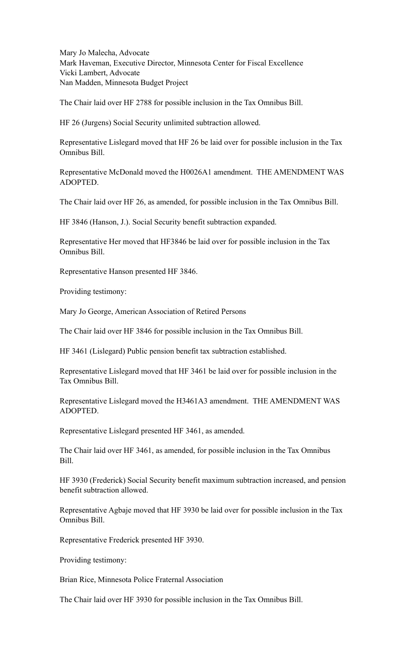Mary Jo Malecha, Advocate Mark Haveman, Executive Director, Minnesota Center for Fiscal Excellence Vicki Lambert, Advocate Nan Madden, Minnesota Budget Project

The Chair laid over HF 2788 for possible inclusion in the Tax Omnibus Bill.

HF 26 (Jurgens) Social Security unlimited subtraction allowed.

Representative Lislegard moved that HF 26 be laid over for possible inclusion in the Tax Omnibus Bill.

Representative McDonald moved the H0026A1 amendment. THE AMENDMENT WAS ADOPTED.

The Chair laid over HF 26, as amended, for possible inclusion in the Tax Omnibus Bill.

HF 3846 (Hanson, J.). Social Security benefit subtraction expanded.

Representative Her moved that HF3846 be laid over for possible inclusion in the Tax Omnibus Bill.

Representative Hanson presented HF 3846.

Providing testimony:

Mary Jo George, American Association of Retired Persons

The Chair laid over HF 3846 for possible inclusion in the Tax Omnibus Bill.

HF 3461 (Lislegard) Public pension benefit tax subtraction established.

Representative Lislegard moved that HF 3461 be laid over for possible inclusion in the Tax Omnibus Bill.

Representative Lislegard moved the H3461A3 amendment. THE AMENDMENT WAS ADOPTED.

Representative Lislegard presented HF 3461, as amended.

The Chair laid over HF 3461, as amended, for possible inclusion in the Tax Omnibus Bill.

HF 3930 (Frederick) Social Security benefit maximum subtraction increased, and pension benefit subtraction allowed.

Representative Agbaje moved that HF 3930 be laid over for possible inclusion in the Tax Omnibus Bill.

Representative Frederick presented HF 3930.

Providing testimony:

Brian Rice, Minnesota Police Fraternal Association

The Chair laid over HF 3930 for possible inclusion in the Tax Omnibus Bill.